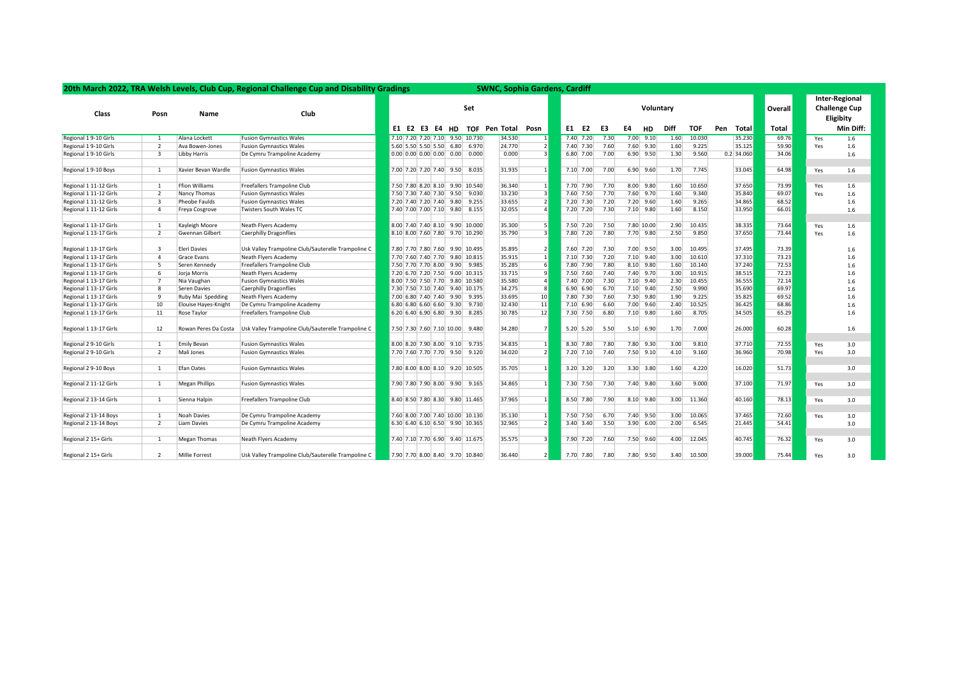| 20th March 2022, TRA Welsh Levels, Club Cup, Regional Challenge Cup and Disability Gradings<br><b>SWNC, Sophia Gardens, Cardiff</b> |                         |                        |                                                    |  |                  |                |  |  |                                                                                   |               |                          |    |               |  |      |    |               |      |                |     |                                                            |       |     |           |
|-------------------------------------------------------------------------------------------------------------------------------------|-------------------------|------------------------|----------------------------------------------------|--|------------------|----------------|--|--|-----------------------------------------------------------------------------------|---------------|--------------------------|----|---------------|--|------|----|---------------|------|----------------|-----|------------------------------------------------------------|-------|-----|-----------|
| Class                                                                                                                               | Posn                    | <b>Name</b>            | Club                                               |  | Set<br>Voluntary |                |  |  |                                                                                   |               |                          |    |               |  |      |    |               |      | <b>Overall</b> |     | <b>Inter-Regional</b><br><b>Challenge Cup</b><br>Eligibity |       |     |           |
|                                                                                                                                     |                         |                        |                                                    |  |                  | E1 E2 E3 E4 HD |  |  |                                                                                   | TOF Pen Total | Posn                     | E1 | E2            |  | E3   | E4 | HD            | Diff | <b>TOF</b>     | Pen | Total                                                      | Total |     | Min Diff: |
| Regional 1 9-10 Girls                                                                                                               | $\overline{1}$          | Alana Lockett          | <b>Fusion Gymnastics Wales</b>                     |  |                  |                |  |  | 7.10 7.20 7.20 7.10 9.50 10.730                                                   | 34.530        | $\vert$ 1                |    | $7.40$ 7.20   |  | 7.30 |    | $7.00$ 9.10   | 1.60 | 10.030         |     | 35.230                                                     | 69.76 | Yes | 1.6       |
| Regional 1 9-10 Girls                                                                                                               | $\overline{2}$          | Ava Bowen-Jones        | <b>Fusion Gymnastics Wales</b>                     |  |                  |                |  |  | 5.60 5.50 5.50 5.50 6.80 6.970                                                    | 24.770        | $\overline{2}$           |    | 7.40 7.30     |  | 7.60 |    | 7.60 9.30     | 1.60 | 9.225          |     | 35.125                                                     | 59.90 | Yes | 1.6       |
| Regional 1 9-10 Girls                                                                                                               | $\overline{\mathbf{3}}$ | Libby Harris           | De Cymru Trampoline Academy                        |  |                  |                |  |  | $0.00 \begin{array}{ c c c c c c } \hline 0.00 & 0.00 & 0.00 & 0.000 \end{array}$ | 0.000         | $\overline{\mathbf{3}}$  |    | 6.80 7.00     |  | 7.00 |    | $6.90$ 9.50   | 1.30 | 9.560          |     | $0.2$ 34.060                                               | 34.06 |     | 1.6       |
| Regional 1 9-10 Boys                                                                                                                | 1                       | Xavier Bevan Wardle    | <b>Fusion Gymnastics Wales</b>                     |  |                  |                |  |  | 7.00 7.20 7.20 7.40 9.50 8.035                                                    | 31.935        | $\overline{1}$           |    | 7.10 7.00     |  | 7.00 |    | $6.90$ 9.60   | 1.70 | 7.745          |     | 33.045                                                     | 64.98 | Yes | 1.6       |
| Regional 1 11-12 Girls                                                                                                              | 1                       | <b>Ffion Williams</b>  | Freefallers Trampoline Club                        |  |                  |                |  |  | 7.50 7.80 8.20 8.10 9.90 10.540                                                   | 36.340        | $\vert$ 1                |    | 7.70 7.90     |  | 7.70 |    | 8.00 9.80     | 1.60 | 10.650         |     | 37.650                                                     | 73.99 | Yes | 1.6       |
| Regional 1 11-12 Girls                                                                                                              | $\overline{2}$          | Nancy Thomas           | <b>Fusion Gymnastics Wales</b>                     |  |                  |                |  |  | 7.50 7.30 7.40 7.30 9.50 9.030                                                    | 33.230        | $\overline{\mathbf{3}}$  |    | 7.60 7.50     |  | 7.70 |    | 7.60 9.70     | 1.60 | 9.340          |     | 35.840                                                     | 69.07 | Yes | 1.6       |
| Regional 1 11-12 Girls                                                                                                              | $\overline{3}$          | Pheobe Faulds          | <b>Fusion Gymnastics Wales</b>                     |  |                  |                |  |  | 7.20 7.40 7.20 7.40 9.80 9.255                                                    | 33.655        | $\overline{2}$           |    | 7.20 7.30     |  | 7.20 |    | 7.20 9.60     | 1.60 | 9.265          |     | 34.865                                                     | 68.52 |     | 1.6       |
| Regional 1 11-12 Girls                                                                                                              | $\overline{4}$          | Freya Cosgrove         | Twisters South Wales TC                            |  |                  |                |  |  | 7.40 7.00 7.00 7.10 9.80 8.155                                                    | 32.055        | $\overline{a}$           |    | 7.20 7.20     |  | 7.30 |    | 7.10 9.80     | 1.60 | 8.150          |     | 33.950                                                     | 66.01 |     | 1.6       |
| Regional 1 13-17 Girls                                                                                                              | 1                       | Kayleigh Moore         | Neath Flyers Academy                               |  |                  |                |  |  | 8.00 7.40 7.40 8.10 9.90 10.000                                                   | 35.300        | 5                        |    | 7.50 7.20     |  | 7.50 |    | 7.80 10.00    | 2.90 | 10.435         |     | 38.335                                                     | 73.64 | Yes | 1.6       |
| Regional 1 13-17 Girls                                                                                                              | $\overline{2}$          | <b>Gwennan Gilbert</b> | Caerphilly Dragonflies                             |  |                  |                |  |  | 8.10 8.00 7.60 7.80 9.70 10.290                                                   | 35.790        | $\overline{\mathbf{3}}$  |    | 7.80 7.20     |  | 7.80 |    | 7.70 9.80     | 2.50 | 9.850          |     | 37.650                                                     | 73.44 | Yes | 1.6       |
| Regional 1 13-17 Girls                                                                                                              | $\overline{3}$          | <b>Eleri Davies</b>    | Usk Valley Trampoline Club/Sauterelle Trampoline C |  |                  |                |  |  | 7.80 7.70 7.80 7.60 9.90 10.495                                                   | 35.895        | $\overline{2}$           |    | 7.60 7.20     |  | 7.30 |    | 7.00 9.50     | 3.00 | 10.495         |     | 37.495                                                     | 73.39 |     | 1.6       |
| Regional 1 13-17 Girls                                                                                                              | 4                       | Grace Evans            | Neath Flyers Academy                               |  |                  |                |  |  | 7.70 7.60 7.40 7.70 9.80 10.815                                                   | 35.915        | 1                        |    | $7.10$ 7.30   |  | 7.20 |    | $7.10$ 9.40   | 3.00 | 10.610         |     | 37.310                                                     | 73.23 |     | 1.6       |
| Regional 1 13-17 Girls                                                                                                              | 5                       | Seren Kennedy          | Freefallers Trampoline Club                        |  |                  |                |  |  | 7.50 7.70 7.70 8.00 9.90 9.985                                                    | 35.285        |                          |    | 7.80 7.90     |  | 7.80 |    | 8.10 9.80     | 1.60 | 10.140         |     | 37.240                                                     | 72.53 |     | 1.6       |
| Regional 1 13-17 Girls                                                                                                              | 6                       | Jorja Morris           | Neath Flyers Academy                               |  |                  |                |  |  | 7.20 6.70 7.20 7.50 9.00 10.315                                                   | 33.715        | 9                        |    | 7.50 7.60     |  | 7.40 |    | 7.40 9.70     | 3.00 | 10.915         |     | 38.515                                                     | 72.23 |     | 1.6       |
| Regional 1 13-17 Girls                                                                                                              | $\overline{7}$          | Nia Vaughan            | <b>Fusion Gymnastics Wales</b>                     |  |                  |                |  |  | 8.00 7.50 7.50 7.70 9.80 10.580                                                   | 35.580        | $\overline{4}$           |    | 7.40 7.00     |  | 7.30 |    | $7.10$ 9.40   | 2.30 | 10.455         |     | 36.555                                                     | 72.14 |     | 1.6       |
| Regional 1 13-17 Girls                                                                                                              | 8                       | Seren Davies           | <b>Caerphilly Dragonflies</b>                      |  |                  |                |  |  | 7.30 7.50 7.10 7.40 9.40 10.175                                                   | 34.275        | $\overline{8}$           |    | 6.90 6.90     |  | 6.70 |    | $7.10$ 9.40   | 2.50 | 9.990          |     | 35.690                                                     | 69.97 |     | 1.6       |
| Regional 1 13-17 Girls                                                                                                              | 9                       | Ruby Mai Spedding      | Neath Flyers Academy                               |  |                  |                |  |  | 7.00 6.80 7.40 7.40 9.90 9.395                                                    | 33.695        | 10                       |    | 7.80 7.30     |  | 7.60 |    | 7.30 9.80     | 1.90 | 9.225          |     | 35.825                                                     | 69.52 |     | 1.6       |
| Regional 1 13-17 Girls                                                                                                              | 10                      | Elouise Hayes-Knight   | De Cymru Trampoline Academy                        |  |                  |                |  |  | 6.80 6.80 6.60 6.60 9.30 9.730                                                    | 32.430        | $11\,$                   |    | 7.10 6.90     |  | 6.60 |    | 7.00 9.60     | 2.40 | 10.525         |     | 36.425                                                     | 68.86 |     | 1.6       |
| Regional 1 13-17 Girls                                                                                                              | 11                      | Rose Taylor            | Freefallers Trampoline Club                        |  |                  |                |  |  | $6.20   6.40   6.90   6.80   9.30   8.285$                                        | 30.785        | 12                       |    | 7.30 7.50     |  | 6.80 |    | 7.10 9.80     | 1.60 | 8.705          |     | 34.505                                                     | 65.29 |     | 1.6       |
| Regional 1 13-17 Girls                                                                                                              | 12                      | Rowan Peres Da Costa   | Usk Valley Trampoline Club/Sauterelle Trampoline C |  |                  |                |  |  | 7.50 7.30 7.60 7.10 10.00 9.480                                                   | 34.280        | 7                        |    | 5.20 5.20     |  | 5.50 |    | $5.10 $ 6.90  | 1.70 | 7.000          |     | 26,000                                                     | 60.28 |     | 1.6       |
| Regional 2 9-10 Girls                                                                                                               | $\mathbf{1}$            | <b>Emily Bevan</b>     | <b>Fusion Gymnastics Wales</b>                     |  |                  |                |  |  | 8.00 8.20 7.90 8.00 9.10 9.735                                                    | 34.835        | $\overline{1}$           |    | 8.30 7.80     |  | 7.80 |    | 7.80 9.30     | 3.00 | 9.810          |     | 37.710                                                     | 72.55 | Yes | 3.0       |
| Regional 2 9-10 Girls                                                                                                               | $\overline{2}$          | Mali Jones             | <b>Fusion Gymnastics Wales</b>                     |  |                  |                |  |  | 7.70 7.60 7.70 7.70 9.50 9.120                                                    | 34.020        | $\overline{2}$           |    | $7.20$ $7.10$ |  | 7.40 |    | $7.50$ 9.10   | 4.10 | 9.160          |     | 36.960                                                     | 70.98 | Yes | 3.0       |
| Regional 2 9-10 Boys                                                                                                                | 1                       | <b>Efan Oates</b>      | <b>Fusion Gymnastics Wales</b>                     |  |                  |                |  |  | 7.80 8.00 8.00 8.10 9.20 10.505                                                   | 35.705        | $\vert 1 \vert$          |    | $3.20$ 3.20   |  | 3.20 |    | $3.30$ $3.80$ | 1.60 | 4.220          |     | 16.020                                                     | 51.73 |     | 3.0       |
| Regional 2 11-12 Girls                                                                                                              | 1                       | <b>Megan Phillips</b>  | <b>Fusion Gymnastics Wales</b>                     |  |                  |                |  |  | 7.90 7.80 7.90 8.00 9.90 9.165                                                    | 34.865        | $\overline{1}$           |    | 7.30 7.50     |  | 7.30 |    | 7.40 9.80     | 3.60 | 9.000          |     | 37.100                                                     | 71.97 | Yes | 3.0       |
|                                                                                                                                     |                         |                        |                                                    |  |                  |                |  |  |                                                                                   |               |                          |    |               |  |      |    |               |      |                |     |                                                            |       |     |           |
| Regional 2 13-14 Girls                                                                                                              | 1                       | Sienna Halpin          | Freefallers Trampoline Club                        |  |                  |                |  |  | 8.40 8.50 7.80 8.30 9.80 11.465                                                   | 37.965        | $\vert 1 \vert$          |    | 8.50 7.80     |  | 7.90 |    | $8.10$ 9.80   | 3.00 | 11.360         |     | 40.160                                                     | 78.13 | Yes | 3.0       |
| Regional 2 13-14 Boys                                                                                                               | 1                       | Noah Davies            | De Cymru Trampoline Academy                        |  |                  |                |  |  | 7.60 8.00 7.00 7.40 10.00 10.130                                                  | 35.130        | $\overline{1}$           |    | 7.50 7.50     |  | 6.70 |    | 7.40 9.50     | 3.00 | 10.065         |     | 37.465                                                     | 72.60 | Yes | 3.0       |
| Regional 2 13-14 Boys                                                                                                               | $\overline{2}$          | Liam Davies            | De Cymru Trampoline Academy                        |  |                  |                |  |  | 6.30 6.40 6.10 6.50 9.90 10.365                                                   | 32.965        | $\overline{z}$           |    | $3.40$ 3.40   |  | 3.50 |    | $3.90 \ 6.00$ | 2.00 | 6.545          |     | 21.445                                                     | 54.41 |     | 3.0       |
| Regional 2 15+ Girls                                                                                                                | 1                       | <b>Megan Thomas</b>    | Neath Flyers Academy                               |  |                  |                |  |  | 7.40 7.10 7.70 6.90 9.40 11.675                                                   | 35.575        | $\vert$ 3                |    | 7.90 7.20     |  | 7.60 |    | 7.50 9.60     | 4.00 | 12.045         |     | 40.745                                                     | 76.32 | Yes | 3.0       |
| Regional 2 15+ Girls                                                                                                                | $\overline{2}$          | Millie Forrest         | Usk Valley Trampoline Club/Sauterelle Trampoline C |  |                  |                |  |  | 7.90 7.70 8.00 8.40 9.70 10.840                                                   | 36.440        | $\overline{\phantom{0}}$ |    | 7.70 7.80     |  | 7.80 |    | 7.80 9.50     | 3.40 | 10.500         |     | 39,000                                                     | 75.44 | Yes | 3.0       |
|                                                                                                                                     |                         |                        |                                                    |  |                  |                |  |  |                                                                                   |               |                          |    |               |  |      |    |               |      |                |     |                                                            |       |     |           |